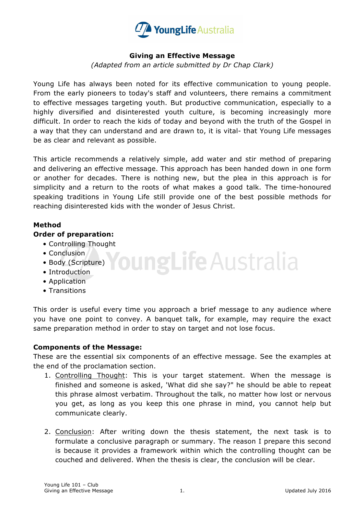

# **Giving an Effective Message**

*(Adapted from an article submitted by Dr Chap Clark)*

Young Life has always been noted for its effective communication to young people. From the early pioneers to today's staff and volunteers, there remains a commitment to effective messages targeting youth. But productive communication, especially to a highly diversified and disinterested youth culture, is becoming increasingly more difficult. In order to reach the kids of today and beyond with the truth of the Gospel in a way that they can understand and are drawn to, it is vital- that Young Life messages be as clear and relevant as possible.

This article recommends a relatively simple, add water and stir method of preparing and delivering an effective message. This approach has been handed down in one form or another for decades. There is nothing new, but the plea in this approach is for simplicity and a return to the roots of what makes a good talk. The time-honoured speaking traditions in Young Life still provide one of the best possible methods for reaching disinterested kids with the wonder of Jesus Christ.

# **Method**

### **Order of preparation:**

- Controlling Thought
- Conclusion
- **Toung Life Australia** • Body (Scripture)
- Introduction
- Application
- Transitions

This order is useful every time you approach a brief message to any audience where you have one point to convey. A banquet talk, for example, may require the exact same preparation method in order to stay on target and not lose focus.

#### **Components of the Message:**

These are the essential six components of an effective message. See the examples at the end of the proclamation section.

- 1. Controlling Thought: This is your target statement. When the message is finished and someone is asked, 'What did she say?" he should be able to repeat this phrase almost verbatim. Throughout the talk, no matter how lost or nervous you get, as long as you keep this one phrase in mind, you cannot help but communicate clearly.
- 2. Conclusion: After writing down the thesis statement, the next task is to formulate a conclusive paragraph or summary. The reason I prepare this second is because it provides a framework within which the controlling thought can be couched and delivered. When the thesis is clear, the conclusion will be clear.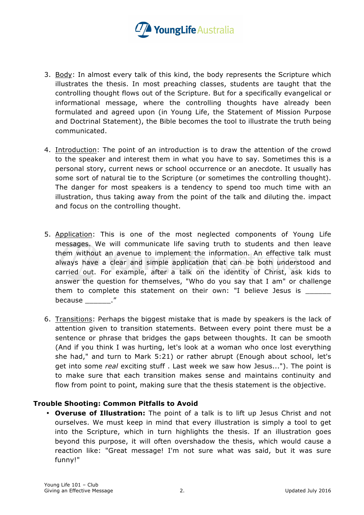

- 3. Body: In almost every talk of this kind, the body represents the Scripture which illustrates the thesis. In most preaching classes, students are taught that the controlling thought flows out of the Scripture. But for a specifically evangelical or informational message, where the controlling thoughts have already been formulated and agreed upon (in Young Life, the Statement of Mission Purpose and Doctrinal Statement), the Bible becomes the tool to illustrate the truth being communicated.
- 4. Introduction: The point of an introduction is to draw the attention of the crowd to the speaker and interest them in what you have to say. Sometimes this is a personal story, current news or school occurrence or an anecdote. It usually has some sort of natural tie to the Scripture (or sometimes the controlling thought). The danger for most speakers is a tendency to spend too much time with an illustration, thus taking away from the point of the talk and diluting the. impact and focus on the controlling thought.
- 5. Application: This is one of the most neglected components of Young Life messages. We will communicate life saving truth to students and then leave them without an avenue to implement the information. An effective talk must always have a clear and simple application that can be both understood and carried out. For example, after a talk on the identity of Christ, ask kids to answer the question for themselves, "Who do you say that I am" or challenge them to complete this statement on their own: "I believe Jesus is because  $\blacksquare$ "
- 6. Transitions: Perhaps the biggest mistake that is made by speakers is the lack of attention given to transition statements. Between every point there must be a sentence or phrase that bridges the gaps between thoughts. It can be smooth (And if you think I was hurting, let's look at a woman who once lost everything she had," and turn to Mark 5:21) or rather abrupt (Enough about school, let's get into some *real* exciting stuff . Last week we saw how Jesus..."). The point is to make sure that each transition makes sense and maintains continuity and flow from point to point, making sure that the thesis statement is the objective.

### **Trouble Shooting: Common Pitfalls to Avoid**

• **Overuse of Illustration:** The point of a talk is to lift up Jesus Christ and not ourselves. We must keep in mind that every illustration is simply a tool to get into the Scripture, which in turn highlights the thesis. If an illustration goes beyond this purpose, it will often overshadow the thesis, which would cause a reaction like: "Great message! I'm not sure what was said, but it was sure funny!"